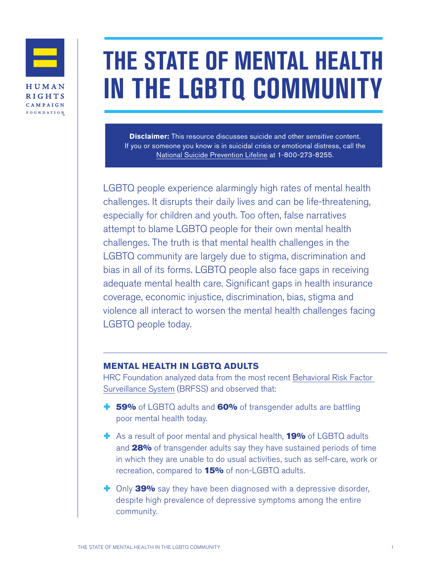

# **THE STATE OF MENTAL HEALTH IN THE LGBTQ COMMUNITY**

**Disclaimer:** This resource discusses suicide and other sensitive content. If you or someone you know is in suicidal crisis or emotional distress, call the [National Suicide Prevention Lifeline](http://www.suicidepreventionlifeline.org/) at 1-800-273-8255.

LGBTQ people experience alarmingly high rates of mental health challenges. It disrupts their daily lives and can be life-threatening, especially for children and youth. Too often, false narratives attempt to blame LGBTQ people for their own mental health challenges. The truth is that mental health challenges in the LGBTQ community are largely due to stigma, discrimination and bias in all of its forms. LGBTQ people also face gaps in receiving adequate mental health care. Significant gaps in health insurance coverage, economic injustice, discrimination, bias, stigma and violence all interact to worsen the mental health challenges facing LGBTQ people today.

### **MENTAL HEALTH IN LGBTQ ADULTS**

HRC Foundation analyzed data from the most recent [Behavioral Risk Factor](https://www.cdc.gov/brfss/index.html)  [Surveillance System](https://www.cdc.gov/brfss/index.html) (BRFSS) and observed that:

- **+ 59%** of LGBTQ adults and **60%** of transgender adults are battling poor mental health today.
- <sup>+</sup> As a result of poor mental and physical health, **19%** of LGBTQ adults and 28% of transgender adults say they have sustained periods of time in which they are unable to do usual activities, such as self-care, work or recreation, compared to **15%** of non-LGBTQ adults.
- **+** Only 39% say they have been diagnosed with a depressive disorder, despite high prevalence of depressive symptoms among the entire community.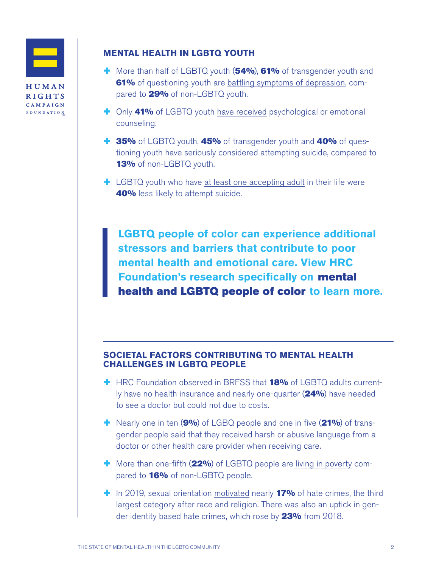

# **MENTAL HEALTH IN LGBTQ YOUTH**

- **+** More than half of LGBTQ youth (54%), 61% of transgender youth and 61% of questioning youth are [battling symptoms of depression,](https://www.hrc.org/resources/cdcs-yrbs-data-a-call-to-action) compared to 29% of non-LGBTQ youth.
- <sup>+</sup> Only 41% of LGBTQ youth [have received](https://hrc-prod-requests.s3-us-west-2.amazonaws.com/files/assets/resources/2018-YouthReport-NoVid.pdf?mtime=20200713131634&focal=none) psychological or emotional counseling.
- **1 35%** of LGBTQ youth, **45%** of transgender youth and **40%** of questioning youth have [seriously considered attempting suicide](https://www.hrc.org/resources/cdcs-yrbs-data-a-call-to-action), compared to 13% of non-LGBTQ youth.
- $\pm$  LGBTQ youth who have [at least one accepting adult](https://www.thetrevorproject.org/2019/06/27/research-brief-accepting-adults-reduce-suicide-attempts-among-lgbtq-youth/) in their life were 40% less likely to attempt suicide.

**LGBTQ people of color can experience additional stressors and barriers that contribute to poor mental health and emotional care. View HRC Foundation's research specifically on** mental health and LGBTQ people of color **to learn more.**

## **SOCIETAL FACTORS CONTRIBUTING TO MENTAL HEALTH CHALLENGES IN LGBTQ PEOPLE**

- $\div$  HRC Foundation observed in BRFSS that 18% of LGBTQ adults currently have no health insurance and nearly one-quarter (24%) have needed to see a doctor but could not due to costs.
- **+** Nearly one in ten (9%) of LGBQ people and one in five (21%) of transgender people [said that they received](https://www.americanprogress.org/issues/lgbtq-rights/news/2018/01/18/445130/discrimination-prevents-lgbtq-people-accessing-health-care/) harsh or abusive language from a doctor or other health care provider when receiving care.
- $\blacksquare$  More than one-fifth  $(22\%)$  of LGBTQ people ar[e living in poverty](https://williamsinstitute.law.ucla.edu/wp-content/uploads/National-LGBT-Poverty-Oct-2019.pdf) compared to **16%** of non-LGBTQ people.
- $\blacksquare$  In 2019, sexual orientation [motivated](https://ucr.fbi.gov/hate-crime) nearly 17% of hate crimes, the third largest category after race and religion. There was [also an uptick](https://ucr.fbi.gov/hate-crime) in gender identity based hate crimes, which rose by **23%** from 2018.